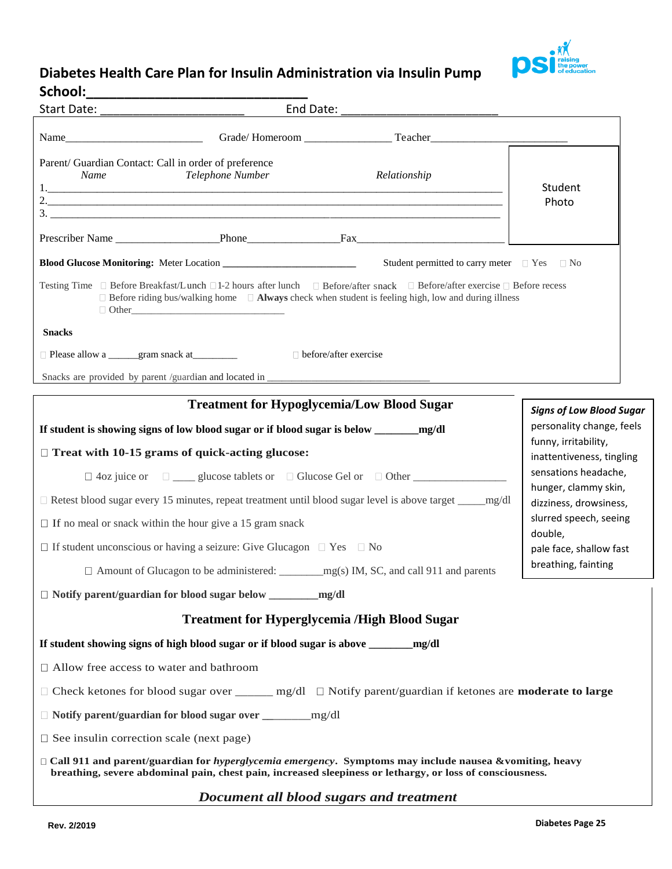

## **Diabetes Health Care Plan for Insulin Administration via Insulin Pump**

| School:                                                                                                                      |                                                                                       |                                                                                                                                                                                                                                                    |                                                                        |  |
|------------------------------------------------------------------------------------------------------------------------------|---------------------------------------------------------------------------------------|----------------------------------------------------------------------------------------------------------------------------------------------------------------------------------------------------------------------------------------------------|------------------------------------------------------------------------|--|
|                                                                                                                              |                                                                                       |                                                                                                                                                                                                                                                    |                                                                        |  |
|                                                                                                                              |                                                                                       |                                                                                                                                                                                                                                                    |                                                                        |  |
| Parent/ Guardian Contact: Call in order of preference<br>Name                                                                | Telephone Number                                                                      | Relationship                                                                                                                                                                                                                                       |                                                                        |  |
|                                                                                                                              |                                                                                       |                                                                                                                                                                                                                                                    | Student<br>Photo                                                       |  |
|                                                                                                                              |                                                                                       | 3.                                                                                                                                                                                                                                                 |                                                                        |  |
|                                                                                                                              |                                                                                       |                                                                                                                                                                                                                                                    |                                                                        |  |
|                                                                                                                              |                                                                                       | Student permitted to carry meter □ Yes □ No                                                                                                                                                                                                        |                                                                        |  |
|                                                                                                                              |                                                                                       | Testing Time □ Before Breakfast/Lunch □1-2 hours after lunch □ Before/after snack □ Before/after exercise □ Before recess<br>$\Box$ Before riding bus/walking home $\Box$ <b>Always</b> check when student is feeling high, low and during illness |                                                                        |  |
| <b>Snacks</b>                                                                                                                |                                                                                       |                                                                                                                                                                                                                                                    |                                                                        |  |
|                                                                                                                              |                                                                                       |                                                                                                                                                                                                                                                    |                                                                        |  |
|                                                                                                                              |                                                                                       |                                                                                                                                                                                                                                                    |                                                                        |  |
|                                                                                                                              | <b>Treatment for Hypoglycemia/Low Blood Sugar</b>                                     |                                                                                                                                                                                                                                                    | <b>Signs of Low Blood Sugar</b>                                        |  |
|                                                                                                                              |                                                                                       |                                                                                                                                                                                                                                                    | personality change, feels                                              |  |
|                                                                                                                              | $\Box$ Treat with 10-15 grams of quick-acting glucose:                                |                                                                                                                                                                                                                                                    | funny, irritability,<br>inattentiveness, tingling                      |  |
|                                                                                                                              |                                                                                       |                                                                                                                                                                                                                                                    | sensations headache,<br>hunger, clammy skin,<br>dizziness, drowsiness, |  |
|                                                                                                                              |                                                                                       |                                                                                                                                                                                                                                                    |                                                                        |  |
|                                                                                                                              | $\Box$ If no meal or snack within the hour give a 15 gram snack                       | slurred speech, seeing                                                                                                                                                                                                                             |                                                                        |  |
|                                                                                                                              | $\Box$ If student unconscious or having a seizure: Give Glucagon $\Box$ Yes $\Box$ No |                                                                                                                                                                                                                                                    | double,<br>pale face, shallow fast                                     |  |
|                                                                                                                              |                                                                                       |                                                                                                                                                                                                                                                    | breathing, fainting                                                    |  |
|                                                                                                                              |                                                                                       |                                                                                                                                                                                                                                                    |                                                                        |  |
|                                                                                                                              | <b>Treatment for Hyperglycemia /High Blood Sugar</b>                                  |                                                                                                                                                                                                                                                    |                                                                        |  |
|                                                                                                                              | If student showing signs of high blood sugar or if blood sugar is above ______        | mg/dl                                                                                                                                                                                                                                              |                                                                        |  |
| $\Box$ Allow free access to water and bathroom                                                                               |                                                                                       |                                                                                                                                                                                                                                                    |                                                                        |  |
| $\Box$ Check ketones for blood sugar over ______ mg/dl $\Box$ Notify parent/guardian if ketones are <b>moderate to large</b> |                                                                                       |                                                                                                                                                                                                                                                    |                                                                        |  |
|                                                                                                                              |                                                                                       |                                                                                                                                                                                                                                                    |                                                                        |  |
| $\Box$ See insulin correction scale (next page)                                                                              |                                                                                       |                                                                                                                                                                                                                                                    |                                                                        |  |
|                                                                                                                              |                                                                                       | $\Box$ Call 911 and parent/guardian for hyperglycemia emergency. Symptoms may include nausea &vomiting, heavy<br>breathing, severe abdominal pain, chest pain, increased sleepiness or lethargy, or loss of consciousness.                         |                                                                        |  |
|                                                                                                                              |                                                                                       | Document all blood sugars and treatment                                                                                                                                                                                                            |                                                                        |  |